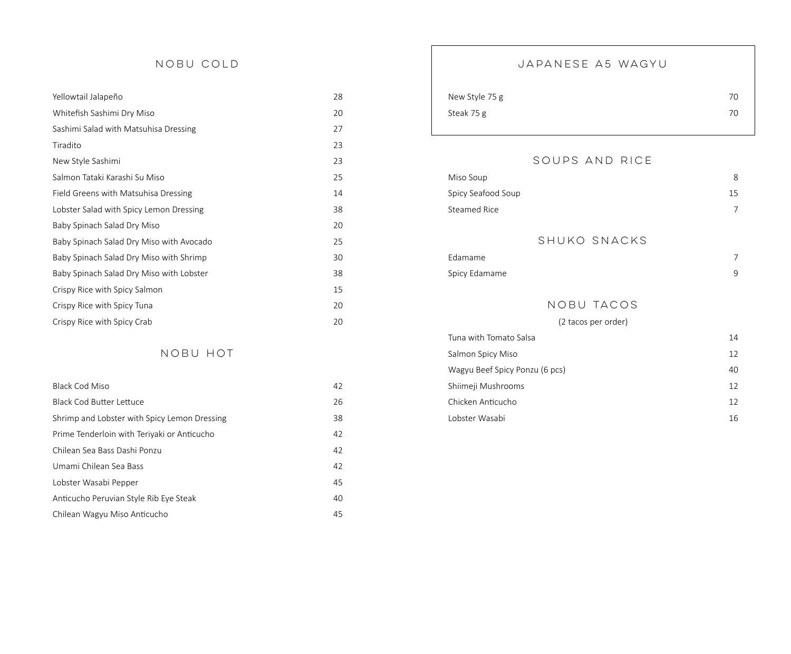## NOBU COLD

| Yellowtail Jalapeño                      | 28 |
|------------------------------------------|----|
| Whitefish Sashimi Dry Miso               | 20 |
| Sashimi Salad with Matsuhisa Dressing    | 27 |
| Tiradito                                 | 23 |
| New Style Sashimi                        | 23 |
| Salmon Tataki Karashi Su Miso            | 25 |
| Field Greens with Matsuhisa Dressing     | 14 |
| Lobster Salad with Spicy Lemon Dressing  | 38 |
| Baby Spinach Salad Dry Miso              | 20 |
| Baby Spinach Salad Dry Miso with Avocado | 25 |
| Baby Spinach Salad Dry Miso with Shrimp  | 30 |
| Baby Spinach Salad Dry Miso with Lobster | 38 |
| Crispy Rice with Spicy Salmon            | 15 |
| Crispy Rice with Spicy Tuna              | 20 |
| Crispy Rice with Spicy Crab              | 20 |

# NOBU HOT

| <b>Black Cod Miso</b>                        | 42 |
|----------------------------------------------|----|
| <b>Black Cod Butter Lettuce</b>              | 26 |
| Shrimp and Lobster with Spicy Lemon Dressing | 38 |
| Prime Tenderloin with Teriyaki or Anticucho  | 42 |
| Chilean Sea Bass Dashi Ponzu                 | 42 |
| Umami Chilean Sea Bass                       | 42 |
| Lobster Wasabi Pepper                        | 45 |
| Anticucho Peruvian Style Rib Eye Steak       | 40 |
| Chilean Wagyu Miso Anticucho                 | 45 |

# JAPANESE A5 WAGYU

| New Style 75 g | 70 |
|----------------|----|
| Steak 75 g     | 70 |

# SOUPS AND RICE

| Miso Soup           |              | 8  |
|---------------------|--------------|----|
| Spicy Seafood Soup  |              | 15 |
| <b>Steamed Rice</b> |              |    |
|                     |              |    |
|                     | SHUKO SNACKS |    |
| Edamame             |              | 7  |
| Spicy Edamame       |              | 9  |
|                     |              |    |
|                     | NOBU TACOS   |    |

# (2 tacos per order)

| Tuna with Tomato Salsa         | 14 |
|--------------------------------|----|
| Salmon Spicy Miso              | 12 |
| Wagyu Beef Spicy Ponzu (6 pcs) | 40 |
| Shiimeji Mushrooms             | 12 |
| Chicken Anticucho              | 12 |
| Lobster Wasabi                 | 16 |